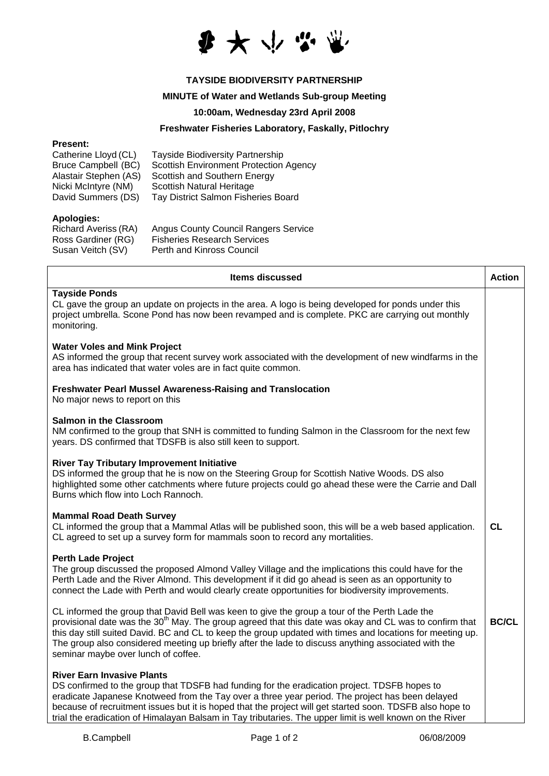

# **TAYSIDE BIODIVERSITY PARTNERSHIP**

## **MINUTE of Water and Wetlands Sub-group Meeting**

#### **10:00am, Wednesday 23rd April 2008**

## **Freshwater Fisheries Laboratory, Faskally, Pitlochry**

#### **Present:**

| Catherine Lloyd (CL)       | <b>Tayside Biodiversity Partnership</b>       |
|----------------------------|-----------------------------------------------|
| <b>Bruce Campbell (BC)</b> | <b>Scottish Environment Protection Agency</b> |
| Alastair Stephen (AS)      | Scottish and Southern Energy                  |
| Nicki McIntyre (NM)        | Scottish Natural Heritage                     |
| David Summers (DS)         | Tay District Salmon Fisheries Board           |

#### **Apologies:**

| <b>Richard Averiss (RA)</b> | <b>Angus County Council Rangers Service</b> |
|-----------------------------|---------------------------------------------|
| Ross Gardiner (RG)          | <b>Fisheries Research Services</b>          |
| Susan Veitch (SV)           | Perth and Kinross Council                   |

| Items discussed                                                                                                                                                                                                                                                                                                                                                                                                                                                                | <b>Action</b> |
|--------------------------------------------------------------------------------------------------------------------------------------------------------------------------------------------------------------------------------------------------------------------------------------------------------------------------------------------------------------------------------------------------------------------------------------------------------------------------------|---------------|
| <b>Tayside Ponds</b><br>CL gave the group an update on projects in the area. A logo is being developed for ponds under this<br>project umbrella. Scone Pond has now been revamped and is complete. PKC are carrying out monthly<br>monitoring.                                                                                                                                                                                                                                 |               |
| <b>Water Voles and Mink Project</b><br>AS informed the group that recent survey work associated with the development of new windfarms in the<br>area has indicated that water voles are in fact quite common.                                                                                                                                                                                                                                                                  |               |
| <b>Freshwater Pearl Mussel Awareness-Raising and Translocation</b><br>No major news to report on this                                                                                                                                                                                                                                                                                                                                                                          |               |
| <b>Salmon in the Classroom</b><br>NM confirmed to the group that SNH is committed to funding Salmon in the Classroom for the next few<br>years. DS confirmed that TDSFB is also still keen to support.                                                                                                                                                                                                                                                                         |               |
| <b>River Tay Tributary Improvement Initiative</b><br>DS informed the group that he is now on the Steering Group for Scottish Native Woods. DS also<br>highlighted some other catchments where future projects could go ahead these were the Carrie and Dall<br>Burns which flow into Loch Rannoch.                                                                                                                                                                             |               |
| <b>Mammal Road Death Survey</b><br>CL informed the group that a Mammal Atlas will be published soon, this will be a web based application.<br>CL agreed to set up a survey form for mammals soon to record any mortalities.                                                                                                                                                                                                                                                    | CL            |
| <b>Perth Lade Project</b><br>The group discussed the proposed Almond Valley Village and the implications this could have for the<br>Perth Lade and the River Almond. This development if it did go ahead is seen as an opportunity to<br>connect the Lade with Perth and would clearly create opportunities for biodiversity improvements.                                                                                                                                     |               |
| CL informed the group that David Bell was keen to give the group a tour of the Perth Lade the<br>provisional date was the 30 <sup>th</sup> May. The group agreed that this date was okay and CL was to confirm that<br>this day still suited David. BC and CL to keep the group updated with times and locations for meeting up.<br>The group also considered meeting up briefly after the lade to discuss anything associated with the<br>seminar maybe over lunch of coffee. | <b>BC/CL</b>  |
| <b>River Earn Invasive Plants</b><br>DS confirmed to the group that TDSFB had funding for the eradication project. TDSFB hopes to<br>eradicate Japanese Knotweed from the Tay over a three year period. The project has been delayed<br>because of recruitment issues but it is hoped that the project will get started soon. TDSFB also hope to<br>trial the eradication of Himalayan Balsam in Tay tributaries. The upper limit is well known on the River                   |               |